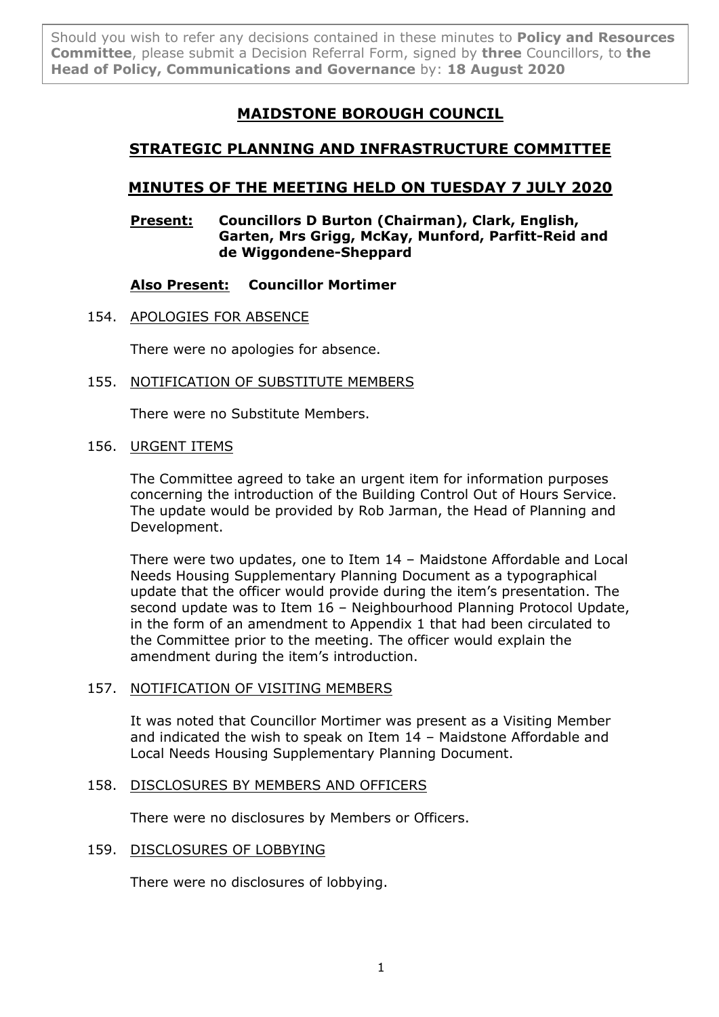Should you wish to refer any decisions contained in these minutes to **Policy and Resources Committee**, please submit a Decision Referral Form, signed by **three** Councillors, to **the Head of Policy, Communications and Governance** by: **18 August 2020**

# **MAIDSTONE BOROUGH COUNCIL**

## **STRATEGIC PLANNING AND INFRASTRUCTURE COMMITTEE**

## **MINUTES OF THE MEETING HELD ON TUESDAY 7 JULY 2020**

## **Present: Councillors D Burton (Chairman), Clark, English, Garten, Mrs Grigg, McKay, Munford, Parfitt-Reid and de Wiggondene-Sheppard**

## **Also Present: Councillor Mortimer**

154. APOLOGIES FOR ABSENCE

There were no apologies for absence.

155. NOTIFICATION OF SUBSTITUTE MEMBERS

There were no Substitute Members.

## 156. URGENT ITEMS

The Committee agreed to take an urgent item for information purposes concerning the introduction of the Building Control Out of Hours Service. The update would be provided by Rob Jarman, the Head of Planning and Development.

There were two updates, one to Item 14 – Maidstone Affordable and Local Needs Housing Supplementary Planning Document as a typographical update that the officer would provide during the item's presentation. The second update was to Item 16 – Neighbourhood Planning Protocol Update, in the form of an amendment to Appendix 1 that had been circulated to the Committee prior to the meeting. The officer would explain the amendment during the item's introduction.

## 157. NOTIFICATION OF VISITING MEMBERS

It was noted that Councillor Mortimer was present as a Visiting Member and indicated the wish to speak on Item 14 – Maidstone Affordable and Local Needs Housing Supplementary Planning Document.

## 158. DISCLOSURES BY MEMBERS AND OFFICERS

There were no disclosures by Members or Officers.

## 159. DISCLOSURES OF LOBBYING

There were no disclosures of lobbying.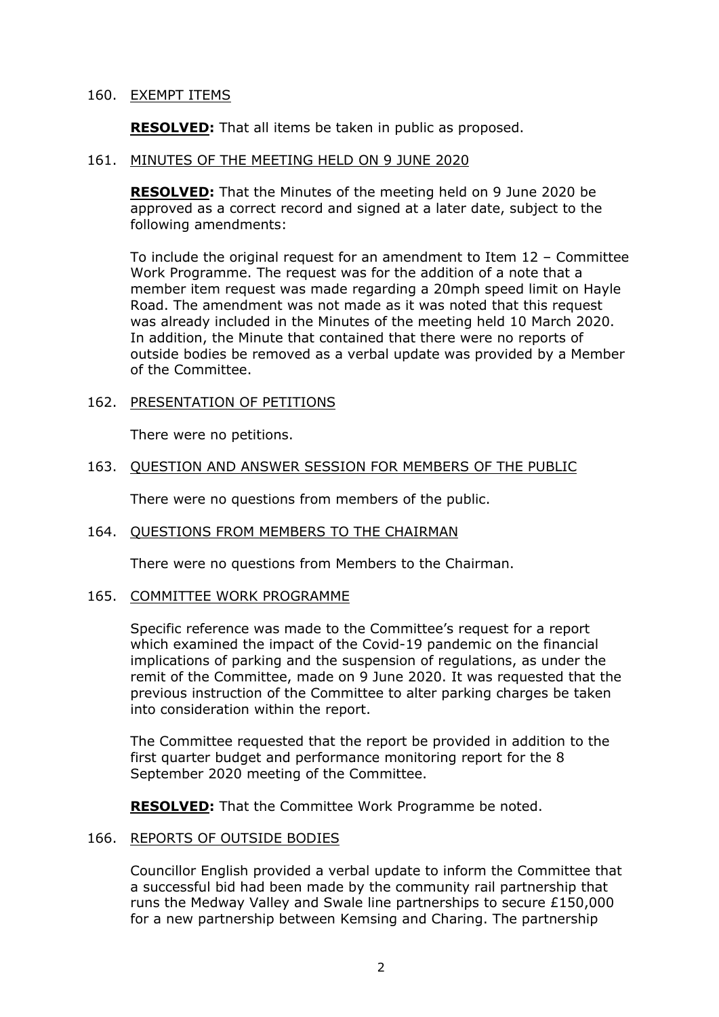#### 160. EXEMPT ITEMS

**RESOLVED:** That all items be taken in public as proposed.

#### 161. MINUTES OF THE MEETING HELD ON 9 JUNE 2020

**RESOLVED:** That the Minutes of the meeting held on 9 June 2020 be approved as a correct record and signed at a later date, subject to the following amendments:

To include the original request for an amendment to Item 12 – Committee Work Programme. The request was for the addition of a note that a member item request was made regarding a 20mph speed limit on Hayle Road. The amendment was not made as it was noted that this request was already included in the Minutes of the meeting held 10 March 2020. In addition, the Minute that contained that there were no reports of outside bodies be removed as a verbal update was provided by a Member of the Committee.

#### 162. PRESENTATION OF PETITIONS

There were no petitions.

#### 163. QUESTION AND ANSWER SESSION FOR MEMBERS OF THE PUBLIC

There were no questions from members of the public.

#### 164. QUESTIONS FROM MEMBERS TO THE CHAIRMAN

There were no questions from Members to the Chairman.

#### 165. COMMITTEE WORK PROGRAMME

Specific reference was made to the Committee's request for a report which examined the impact of the Covid-19 pandemic on the financial implications of parking and the suspension of regulations, as under the remit of the Committee, made on 9 June 2020. It was requested that the previous instruction of the Committee to alter parking charges be taken into consideration within the report.

The Committee requested that the report be provided in addition to the first quarter budget and performance monitoring report for the 8 September 2020 meeting of the Committee.

**RESOLVED:** That the Committee Work Programme be noted.

## 166. REPORTS OF OUTSIDE BODIES

Councillor English provided a verbal update to inform the Committee that a successful bid had been made by the community rail partnership that runs the Medway Valley and Swale line partnerships to secure £150,000 for a new partnership between Kemsing and Charing. The partnership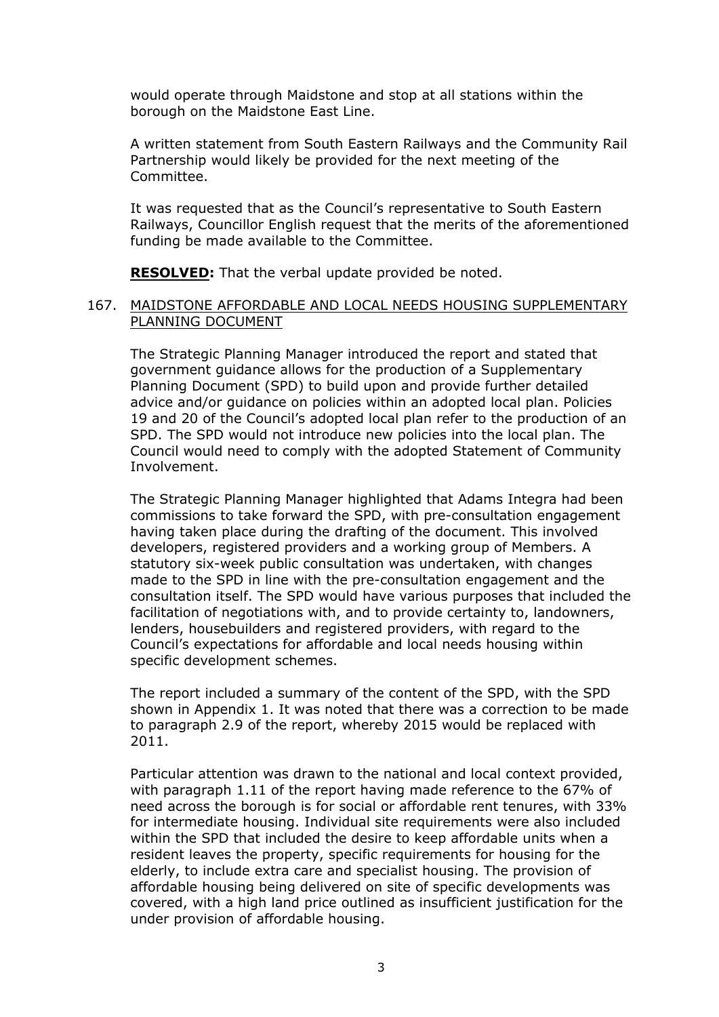would operate through Maidstone and stop at all stations within the borough on the Maidstone East Line.

A written statement from South Eastern Railways and the Community Rail Partnership would likely be provided for the next meeting of the Committee.

It was requested that as the Council's representative to South Eastern Railways, Councillor English request that the merits of the aforementioned funding be made available to the Committee.

**RESOLVED:** That the verbal update provided be noted.

#### 167. MAIDSTONE AFFORDABLE AND LOCAL NEEDS HOUSING SUPPLEMENTARY PLANNING DOCUMENT

The Strategic Planning Manager introduced the report and stated that government guidance allows for the production of a Supplementary Planning Document (SPD) to build upon and provide further detailed advice and/or guidance on policies within an adopted local plan. Policies 19 and 20 of the Council's adopted local plan refer to the production of an SPD. The SPD would not introduce new policies into the local plan. The Council would need to comply with the adopted Statement of Community Involvement.

The Strategic Planning Manager highlighted that Adams Integra had been commissions to take forward the SPD, with pre-consultation engagement having taken place during the drafting of the document. This involved developers, registered providers and a working group of Members. A statutory six-week public consultation was undertaken, with changes made to the SPD in line with the pre-consultation engagement and the consultation itself. The SPD would have various purposes that included the facilitation of negotiations with, and to provide certainty to, landowners, lenders, housebuilders and registered providers, with regard to the Council's expectations for affordable and local needs housing within specific development schemes.

The report included a summary of the content of the SPD, with the SPD shown in Appendix 1. It was noted that there was a correction to be made to paragraph 2.9 of the report, whereby 2015 would be replaced with 2011.

Particular attention was drawn to the national and local context provided, with paragraph 1.11 of the report having made reference to the 67% of need across the borough is for social or affordable rent tenures, with 33% for intermediate housing. Individual site requirements were also included within the SPD that included the desire to keep affordable units when a resident leaves the property, specific requirements for housing for the elderly, to include extra care and specialist housing. The provision of affordable housing being delivered on site of specific developments was covered, with a high land price outlined as insufficient justification for the under provision of affordable housing.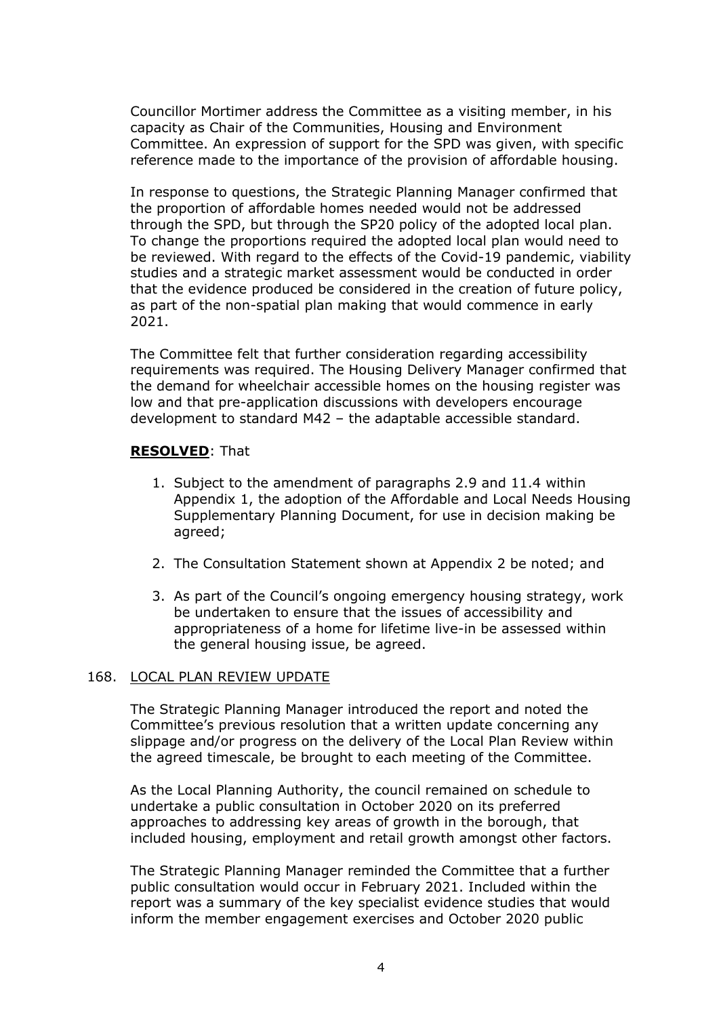Councillor Mortimer address the Committee as a visiting member, in his capacity as Chair of the Communities, Housing and Environment Committee. An expression of support for the SPD was given, with specific reference made to the importance of the provision of affordable housing.

In response to questions, the Strategic Planning Manager confirmed that the proportion of affordable homes needed would not be addressed through the SPD, but through the SP20 policy of the adopted local plan. To change the proportions required the adopted local plan would need to be reviewed. With regard to the effects of the Covid-19 pandemic, viability studies and a strategic market assessment would be conducted in order that the evidence produced be considered in the creation of future policy, as part of the non-spatial plan making that would commence in early 2021.

The Committee felt that further consideration regarding accessibility requirements was required. The Housing Delivery Manager confirmed that the demand for wheelchair accessible homes on the housing register was low and that pre-application discussions with developers encourage development to standard M42 – the adaptable accessible standard.

## **RESOLVED**: That

- 1. Subject to the amendment of paragraphs 2.9 and 11.4 within Appendix 1, the adoption of the Affordable and Local Needs Housing Supplementary Planning Document, for use in decision making be agreed;
- 2. The Consultation Statement shown at Appendix 2 be noted; and
- 3. As part of the Council's ongoing emergency housing strategy, work be undertaken to ensure that the issues of accessibility and appropriateness of a home for lifetime live-in be assessed within the general housing issue, be agreed.

## 168. LOCAL PLAN REVIEW UPDATE

The Strategic Planning Manager introduced the report and noted the Committee's previous resolution that a written update concerning any slippage and/or progress on the delivery of the Local Plan Review within the agreed timescale, be brought to each meeting of the Committee.

As the Local Planning Authority, the council remained on schedule to undertake a public consultation in October 2020 on its preferred approaches to addressing key areas of growth in the borough, that included housing, employment and retail growth amongst other factors.

The Strategic Planning Manager reminded the Committee that a further public consultation would occur in February 2021. Included within the report was a summary of the key specialist evidence studies that would inform the member engagement exercises and October 2020 public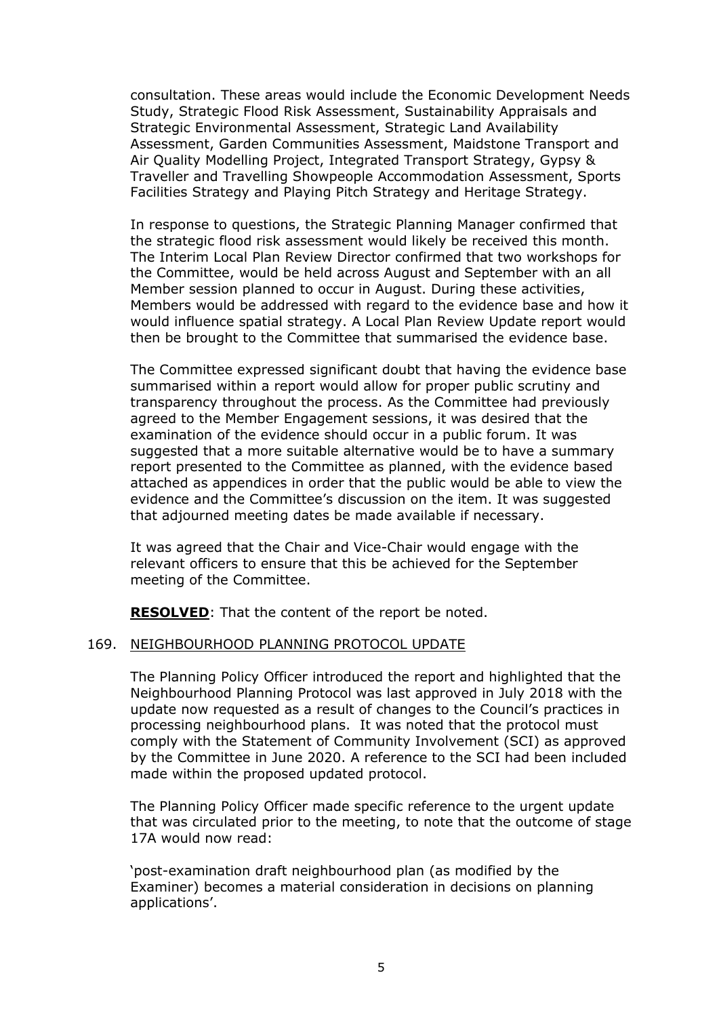consultation. These areas would include the Economic Development Needs Study, Strategic Flood Risk Assessment, Sustainability Appraisals and Strategic Environmental Assessment, Strategic Land Availability Assessment, Garden Communities Assessment, Maidstone Transport and Air Quality Modelling Project, Integrated Transport Strategy, Gypsy & Traveller and Travelling Showpeople Accommodation Assessment, Sports Facilities Strategy and Playing Pitch Strategy and Heritage Strategy.

In response to questions, the Strategic Planning Manager confirmed that the strategic flood risk assessment would likely be received this month. The Interim Local Plan Review Director confirmed that two workshops for the Committee, would be held across August and September with an all Member session planned to occur in August. During these activities, Members would be addressed with regard to the evidence base and how it would influence spatial strategy. A Local Plan Review Update report would then be brought to the Committee that summarised the evidence base.

The Committee expressed significant doubt that having the evidence base summarised within a report would allow for proper public scrutiny and transparency throughout the process. As the Committee had previously agreed to the Member Engagement sessions, it was desired that the examination of the evidence should occur in a public forum. It was suggested that a more suitable alternative would be to have a summary report presented to the Committee as planned, with the evidence based attached as appendices in order that the public would be able to view the evidence and the Committee's discussion on the item. It was suggested that adjourned meeting dates be made available if necessary.

It was agreed that the Chair and Vice-Chair would engage with the relevant officers to ensure that this be achieved for the September meeting of the Committee.

**RESOLVED**: That the content of the report be noted.

## 169. NEIGHBOURHOOD PLANNING PROTOCOL UPDATE

The Planning Policy Officer introduced the report and highlighted that the Neighbourhood Planning Protocol was last approved in July 2018 with the update now requested as a result of changes to the Council's practices in processing neighbourhood plans. It was noted that the protocol must comply with the Statement of Community Involvement (SCI) as approved by the Committee in June 2020. A reference to the SCI had been included made within the proposed updated protocol.

The Planning Policy Officer made specific reference to the urgent update that was circulated prior to the meeting, to note that the outcome of stage 17A would now read:

'post-examination draft neighbourhood plan (as modified by the Examiner) becomes a material consideration in decisions on planning applications'.